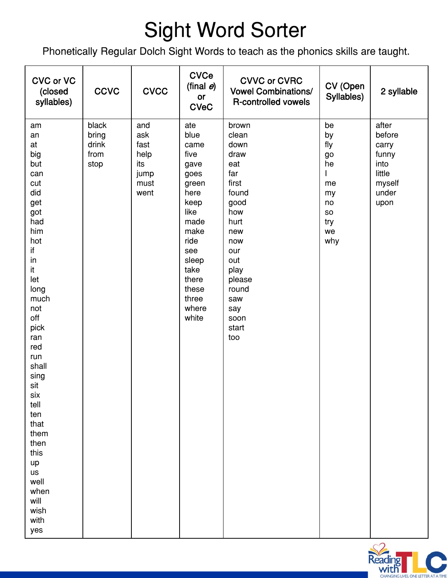## Sight Word Sorter

Phonetically Regular Dolch Sight Words to teach as the phonics skills are taught.

| <b>CVC or VC</b><br>(closed<br>syllables)                                                                                                                                                                                                                                                                         | <b>CCVC</b>                             | <b>CVCC</b>                                               | <b>CVCe</b><br>(final $e$ )<br>or<br><b>CVeC</b>                                                                                                                          | <b>CVVC or CVRC</b><br><b>Vowel Combinations/</b><br><b>R-controlled vowels</b>                                                                                                    | CV (Open<br>Syllables)                                                  | 2 syllable                                                                     |
|-------------------------------------------------------------------------------------------------------------------------------------------------------------------------------------------------------------------------------------------------------------------------------------------------------------------|-----------------------------------------|-----------------------------------------------------------|---------------------------------------------------------------------------------------------------------------------------------------------------------------------------|------------------------------------------------------------------------------------------------------------------------------------------------------------------------------------|-------------------------------------------------------------------------|--------------------------------------------------------------------------------|
| am<br>an<br>at<br>big<br>but<br>can<br>cut<br>did<br>get<br>got<br>had<br>him<br>hot<br>if<br>in<br>it<br>let<br>long<br>much<br>not<br>off<br>pick<br>ran<br>red<br>run<br>shall<br>sing<br>sit<br>six<br>tell<br>ten<br>that<br>them<br>then<br>this<br>up<br>us<br>well<br>when<br>will<br>wish<br>with<br>yes | black<br>bring<br>drink<br>from<br>stop | and<br>ask<br>fast<br>help<br>its<br>jump<br>must<br>went | ate<br>blue<br>came<br>five<br>gave<br>goes<br>green<br>here<br>keep<br>like<br>made<br>make<br>ride<br>see<br>sleep<br>take<br>there<br>these<br>three<br>where<br>white | brown<br>clean<br>down<br>draw<br>eat<br>far<br>first<br>found<br>good<br>how<br>hurt<br>new<br>now<br>our<br>out<br>play<br>please<br>round<br>saw<br>say<br>soon<br>start<br>too | be<br>by<br>fly<br>go<br>he<br>me<br>my<br>no<br>SO<br>try<br>we<br>why | after<br>before<br>carry<br>funny<br>into<br>little<br>myself<br>under<br>upon |